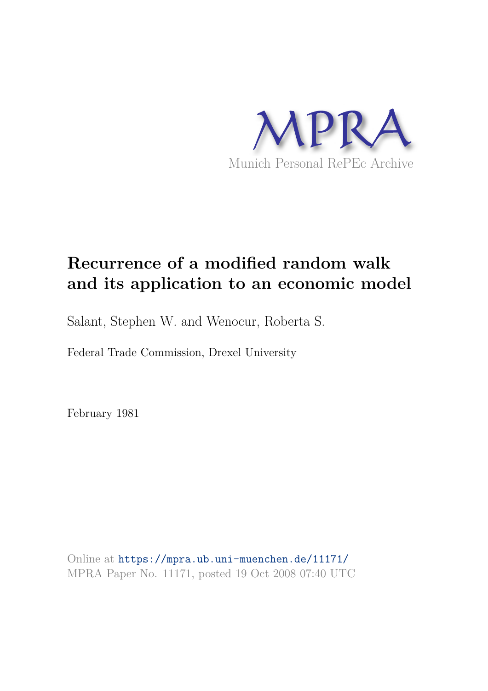

## **Recurrence of a modified random walk and its application to an economic model**

Salant, Stephen W. and Wenocur, Roberta S.

Federal Trade Commission, Drexel University

February 1981

Online at https://mpra.ub.uni-muenchen.de/11171/ MPRA Paper No. 11171, posted 19 Oct 2008 07:40 UTC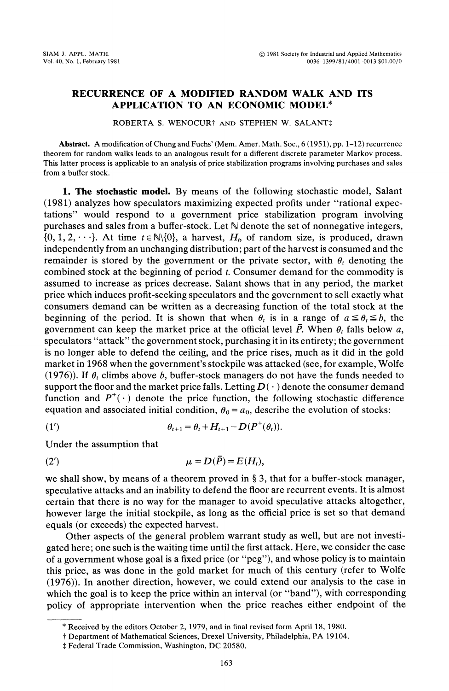## RECURRENCE OF A MODIFIED RANDOM WALK AND ITS APPLICATION TO AN ECONOMIC MODEL\*

ROBERTA S. WENOCUR<sup>+</sup> AND STEPHEN W. SALANT‡

Abstract. A modification of Chung and Fuchs' (Mem. Amer. Math. Soc., <sup>6</sup> (1951), pp. 1-12) recurrence theorem for random walks leads to an analogous result for a different discrete parameter Markov process. This latter process is applicable to an analysis of price stabilization programs involving purchases and sales from a buffer stock.

1. The stochastic model. By means of the following stochastic model, Salant (1981) analyzes how speculators maximizing expected profits under "rational expectations" would respond to a government price stabilization program involving purchases and sales from a buffer-stock. Let  $\mathbb N$  denote the set of nonnegative integers,  $\{0, 1, 2, \dots\}$ . At time  $t \in \mathbb{N}\setminus\{0\}$ , a harvest,  $H_t$ , of random size, is produced, drawn independently from an unchanging distribution; part of the harvest is consumed and the remainder is stored by the government or the private sector, with  $\theta_t$  denoting the combined stock at the beginning of period t. Consumer demand for the commodity is assumed to increase as prices decrease. Salant shows that in any period, the market price which induces profit-seeking speculators and the government to sell exactly what consumers demand can be written as a decreasing function of the total stock at the beginning of the period. It is shown that when  $\theta$ , is in a range of  $a \leq \theta$ ,  $\leq b$ , the government can keep the market price at the official level  $\overline{P}$ . When  $\theta_t$  falls below a, speculators "attack" the government stock, purchasing it in its entirety; the government is no longer able to defend the ceiling, and the price rises, much as it did in the gold market in 1968 when the government's stockpile was attacked (see, for example, Wolfe (1976)). If  $\theta_t$  climbs above b, buffer-stock managers do not have the funds needed to support the floor and the market price falls. Letting  $D(\cdot)$  denote the consumer demand function and  $P^+(\cdot)$  denote the price function, the following stochastic difference equation and associated initial condition,  $\theta_0 = a_0$ , describe the evolution of stocks:

(1') 
$$
\theta_{t+1} = \theta_t + H_{t+1} - D(P^+(\theta_t)).
$$

Under the assumption that

$$
\mu = D(\bar{P}) = E(H_t),
$$

we shall show, by means of a theorem proved in  $\S$  3, that for a buffer-stock manager, speculative attacks and an inability to defend the floor are recurrent events. It is almost certain that there is no way for the manager to avoid speculative attacks altogether, however large the initial stockpile, as long as the official price is set so that demand equals (or exceeds) the expected harvest.

Other aspects of the general problem warrant study as well, but are not investigated here; one such is the waiting time until the first attack. Here, we consider the case of a government whose goal is a fixed price (or "peg"), and whose policy is to maintain this price, as was done in the gold market for much of this century (refer to Wolfe (1976)). In another direction, however, we could extend our analysis to the case in which the goal is to keep the price within an interval (or "band"), with corresponding policy of appropriate intervention when the price reaches either endpoint of the

<sup>\*</sup> Received by the editors October 2, 1979, and in final revised form April 18, 1980.

<sup>-</sup> Department of Mathematical Sciences, Drexel University, Philadelphia, PA 19104.

<sup>t</sup> Federal Trade Commission, Washington, DC 20580.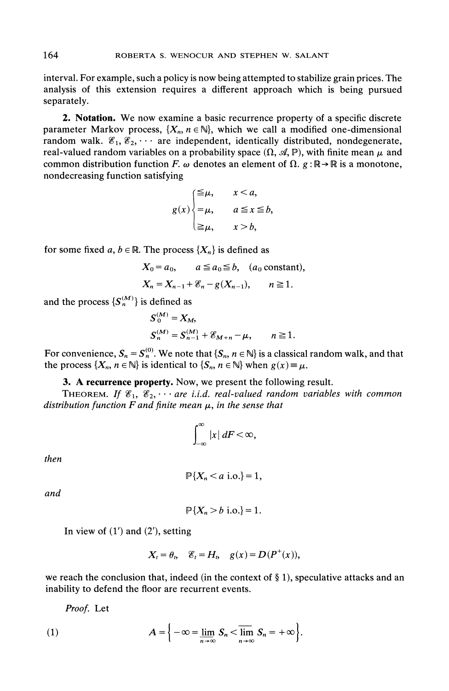interval. For example, such a policy is now being attempted to stabilize grain prices. The analysis of this extension requires a different approach which is being pursued separately.

2. Notation. We now examine <sup>a</sup> basic recurrence property of <sup>a</sup> specific discrete parameter Markov process,  $\{X_n, n \in \mathbb{N}\}$ , which we call a modified one-dimensional random walk.  $\mathscr{E}_1, \mathscr{E}_2, \cdots$  are independent, identically distributed, nondegenerate, real-valued random variables on a probability space  $(\Omega, \mathcal{A}, \mathbb{P})$ , with finite mean  $\mu$  and common distribution function F.  $\omega$  denotes an element of  $\Omega$ .  $g : \mathbb{R} \to \mathbb{R}$  is a monotone, nondecreasing function satisfying

$$
g(x) \begin{cases} \leq \mu, & x < a, \\ = \mu, & a \leq x \leq b, \\ \geq \mu, & x > b, \end{cases}
$$

for some fixed a,  $b \in \mathbb{R}$ . The process  $\{X_n\}$  is defined as

$$
X_0 = a_0
$$
,  $a \le a_0 \le b$ ,  $(a_0 \text{ constant})$ ,  
\n $X_n = X_{n-1} + \mathcal{E}_n - g(X_{n-1})$ ,  $n \ge 1$ .

and the process  $\{S_n^{(M)}\}$  is defined as

$$
S_0^{(M)} = X_M,
$$
  
\n
$$
S_n^{(M)} = S_{n-1}^{(M)} + \mathcal{E}_{M+n} - \mu, \qquad n \ge 1.
$$

For convenience,  $S_n = S_n^{(0)}$ . We note that  $\{S_n, n \in \mathbb{N}\}\$  is a classical random walk, and that the process  $\{X_n, n \in \mathbb{N}\}\$ is identical to  $\{S_n, n \in \mathbb{N}\}\$ when  $g(x) \equiv \mu$ .

## 3. A recurrence property. Now, we present the following result.

THEOREM. If  $\mathscr{E}_1, \mathscr{E}_2, \cdots$  are i.i.d. real-valued random variables with common distribution function  $F$  and finite mean  $\mu$ , in the sense that

$$
\int_{-\infty}^{\infty} |x| \, dF < \infty,
$$

then

$$
\mathbb{P}\{X_n < a \text{ i.o.}\} = 1,
$$

and

$$
\mathbb{P}\{X_n > b \text{ i.o.}\}=1.
$$

In view of  $(1')$  and  $(2')$ , setting

$$
X_t = \theta_t, \quad \mathscr{E}_t = H_t, \quad g(x) = D(P^+(x)),
$$

we reach the conclusion that, indeed (in the context of  $\S$  1), speculative attacks and an inability to defend the floor are recurrent events.

Proof. Let

(1) 
$$
A = \left\{-\infty = \lim_{n \to \infty} S_n < \lim_{n \to \infty} S_n = +\infty\right\}.
$$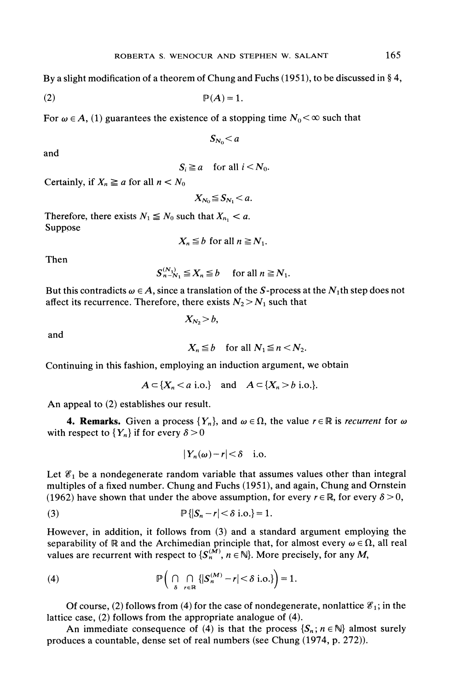By a slight modification of a theorem of Chung and Fuchs (1951), to be discussed in  $\S 4$ ,

(2) P(A) 1.

For  $\omega \in A$ , (1) guarantees the existence of a stopping time  $N_0 < \infty$  such that

$$
S_{N_0}
$$

and

 $S_i \geq a$  for all  $i < N_0$ .

Certainly, if  $X_n \ge a$  for all  $n < N_0$ 

$$
X_{N_0}\leq S_{N_1}
$$

Therefore, there exists  $N_1 \leq N_0$  such that  $X_{n_1} < a$ . Suppose

$$
X_n \leq b \text{ for all } n \geq N_1.
$$

Then

$$
S_{n-N_1}^{(N_1)} \leq X_n \leq b \quad \text{ for all } n \geq N_1.
$$

But this contradicts  $\omega \in A$ , since a translation of the S-process at the N<sub>1</sub>th step does not affect its recurrence. Therefore, there exists  $N_2 > N_1$  such that

$$
X_{N_2} > b,
$$

and

$$
X_n \leq b \quad \text{for all } N_1 \leq n < N_2.
$$

Continuing in this fashion, employing an induction argument, we obtain

$$
A \subset \{X_n < a \text{ i.o.}\} \quad \text{and} \quad A \subset \{X_n > b \text{ i.o.}\}.
$$

An appeal to (2) establishes our result.

**4. Remarks.** Given a process  $\{Y_n\}$ , and  $\omega \in \Omega$ , the value  $r \in \mathbb{R}$  is *recurrent* for  $\omega$ with respect to  ${Y_n}$  if for every  $\delta > 0$ 

$$
|Y_n(\omega)-r|<\delta\quad\text{i.o.}
$$

Let  $\mathscr{E}_1$  be a nondegenerate random variable that assumes values other than integral multiples of a fixed number. Chung and Fuchs (1951), and again, Chung and Ornstein (1962) have shown that under the above assumption, for every  $r \in \mathbb{R}$ , for every  $\delta > 0$ ,

$$
\mathbb{P}\left\{\left|S_n - r\right| < \delta \text{ i.o.}\right\} = 1.
$$

However, in addition, it follows from (3) and a standard argument employing the separability of R and the Archimedian principle that, for almost every  $\omega \in \Omega$ , all real values are recurrent with respect to  $\{S_n^{(M)}, n \in \mathbb{N}\}\)$ . More precisely, for any M,

(4) 
$$
\mathbb{P}\left(\bigcap_{\delta} \bigcap_{r \in \mathbb{R}} \{|S_n^{(M)} - r| < \delta \text{ i.o.}\}\right) = 1.
$$

Of course, (2) follows from (4) for the case of nondegenerate, nonlattice  $\mathscr{E}_1$ ; in the lattice case, (2) follows from the appropriate analogue of (4).

An immediate consequence of (4) is that the process  $\{S_n: n \in \mathbb{N}\}\$  almost surely produces a countable, dense set of real numbers (see Chung (1974, p. 272)).